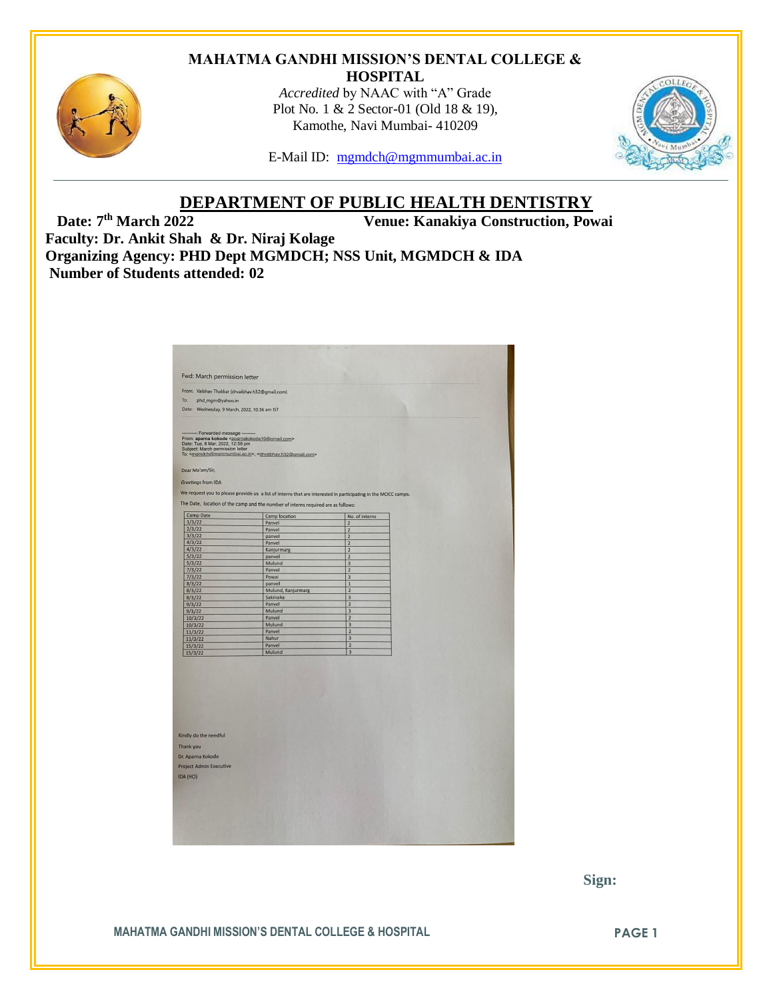#### **MAHATMA GANDHI MISSION'S DENTAL COLLEGE & HOSPITAL**



*Accredited* by NAAC with "A" Grade Plot No. 1 & 2 Sector-01 (Old 18 & 19), Kamothe, Navi Mumbai- 410209



E-Mail ID: [mgmdch@mgmmumbai.ac.in](mailto:mgmdch@mgmmumbai.ac.in)

# **DEPARTMENT OF PUBLIC HEALTH DENTISTRY**<br>Venue: Kanakiya Construction, Pow

**Venue: Kanakiya Construction, Powai** 

**Faculty: Dr. Ankit Shah & Dr. Niraj Kolage Organizing Agency: PHD Dept MGMDCH; NSS Unit, MGMDCH & IDA Number of Students attended: 02**

| From: Vaibhav Thakkar (drvaibhav.h32@gmail.com)<br>To:<br>phd_mgm@yahoo.in<br>Date: Wednesday, 9 March, 2022, 10:36 am IST<br>- Forwarded message -<br>From: aparna kokode <aparnakokode10@gmail.com><br/>Date: Tue, 8 Mar, 2022, 12:58 pm<br/>Subject: March permission letter<br/>Dear Ma'am/Sir,<br/>Greetings from IDA<br/>Camp Date<br/>1/3/22<br/>2/3/22<br/>3/3/22<br/>4/3/22<br/>4/3/22<br/>5/3/22<br/>5/3/22</aparnakokode10@gmail.com> | To: <mgmdch@mgmmumbai.ac.in>, <drvaibhav.h32@gmail.com><br/>We request you to please provide us a list of interns that are interested in participating in the MOCC camps.<br/>The Date, location of the camp and the number of interns required are as follows:<br/>Camp location<br/>Panvel<br/>Panvel<br/>panvel<br/>Panvel<br/>Kanjurmarg</drvaibhav.h32@gmail.com></mgmdch@mgmmumbai.ac.in> | No. of interns<br>$\overline{2}$<br>$\overline{2}$<br>$\overline{2}$<br>$\overline{2}$<br>$\overline{2}$ |
|--------------------------------------------------------------------------------------------------------------------------------------------------------------------------------------------------------------------------------------------------------------------------------------------------------------------------------------------------------------------------------------------------------------------------------------------------|-------------------------------------------------------------------------------------------------------------------------------------------------------------------------------------------------------------------------------------------------------------------------------------------------------------------------------------------------------------------------------------------------|----------------------------------------------------------------------------------------------------------|
|                                                                                                                                                                                                                                                                                                                                                                                                                                                  |                                                                                                                                                                                                                                                                                                                                                                                                 |                                                                                                          |
|                                                                                                                                                                                                                                                                                                                                                                                                                                                  |                                                                                                                                                                                                                                                                                                                                                                                                 |                                                                                                          |
|                                                                                                                                                                                                                                                                                                                                                                                                                                                  |                                                                                                                                                                                                                                                                                                                                                                                                 |                                                                                                          |
|                                                                                                                                                                                                                                                                                                                                                                                                                                                  |                                                                                                                                                                                                                                                                                                                                                                                                 |                                                                                                          |
|                                                                                                                                                                                                                                                                                                                                                                                                                                                  |                                                                                                                                                                                                                                                                                                                                                                                                 |                                                                                                          |
|                                                                                                                                                                                                                                                                                                                                                                                                                                                  |                                                                                                                                                                                                                                                                                                                                                                                                 |                                                                                                          |
|                                                                                                                                                                                                                                                                                                                                                                                                                                                  |                                                                                                                                                                                                                                                                                                                                                                                                 |                                                                                                          |
|                                                                                                                                                                                                                                                                                                                                                                                                                                                  |                                                                                                                                                                                                                                                                                                                                                                                                 |                                                                                                          |
|                                                                                                                                                                                                                                                                                                                                                                                                                                                  |                                                                                                                                                                                                                                                                                                                                                                                                 |                                                                                                          |
|                                                                                                                                                                                                                                                                                                                                                                                                                                                  |                                                                                                                                                                                                                                                                                                                                                                                                 |                                                                                                          |
|                                                                                                                                                                                                                                                                                                                                                                                                                                                  |                                                                                                                                                                                                                                                                                                                                                                                                 |                                                                                                          |
|                                                                                                                                                                                                                                                                                                                                                                                                                                                  |                                                                                                                                                                                                                                                                                                                                                                                                 |                                                                                                          |
|                                                                                                                                                                                                                                                                                                                                                                                                                                                  |                                                                                                                                                                                                                                                                                                                                                                                                 |                                                                                                          |
|                                                                                                                                                                                                                                                                                                                                                                                                                                                  |                                                                                                                                                                                                                                                                                                                                                                                                 |                                                                                                          |
|                                                                                                                                                                                                                                                                                                                                                                                                                                                  | panvel                                                                                                                                                                                                                                                                                                                                                                                          | $\overline{z}$                                                                                           |
|                                                                                                                                                                                                                                                                                                                                                                                                                                                  | Mulund                                                                                                                                                                                                                                                                                                                                                                                          | $\overline{3}$<br>$\overline{2}$                                                                         |
| 7/3/22<br>7/3/22                                                                                                                                                                                                                                                                                                                                                                                                                                 | Panvel<br>Powai                                                                                                                                                                                                                                                                                                                                                                                 | $\overline{3}$                                                                                           |
| 8/3/22                                                                                                                                                                                                                                                                                                                                                                                                                                           | panvel                                                                                                                                                                                                                                                                                                                                                                                          | $\mathbf 1$                                                                                              |
| 8/3/22                                                                                                                                                                                                                                                                                                                                                                                                                                           | Mulund, Kanjurmarg                                                                                                                                                                                                                                                                                                                                                                              | $\overline{2}$                                                                                           |
| 8/3/22                                                                                                                                                                                                                                                                                                                                                                                                                                           | Sakinaka                                                                                                                                                                                                                                                                                                                                                                                        | $\overline{\mathbf{3}}$                                                                                  |
| 9/3/22                                                                                                                                                                                                                                                                                                                                                                                                                                           | Panvel                                                                                                                                                                                                                                                                                                                                                                                          | $\overline{2}$                                                                                           |
| 9/3/22                                                                                                                                                                                                                                                                                                                                                                                                                                           | Mulund                                                                                                                                                                                                                                                                                                                                                                                          | 3                                                                                                        |
| 10/3/22                                                                                                                                                                                                                                                                                                                                                                                                                                          | Panvel                                                                                                                                                                                                                                                                                                                                                                                          | $\overline{2}$                                                                                           |
| 10/3/22                                                                                                                                                                                                                                                                                                                                                                                                                                          | Mulund                                                                                                                                                                                                                                                                                                                                                                                          | 3                                                                                                        |
| 11/3/22                                                                                                                                                                                                                                                                                                                                                                                                                                          | Panvel                                                                                                                                                                                                                                                                                                                                                                                          | $\overline{2}$                                                                                           |
| 11/3/22                                                                                                                                                                                                                                                                                                                                                                                                                                          | Nahur                                                                                                                                                                                                                                                                                                                                                                                           | $\overline{3}$<br>$\overline{2}$                                                                         |
| 15/3/22                                                                                                                                                                                                                                                                                                                                                                                                                                          | Panvel<br>Mulund                                                                                                                                                                                                                                                                                                                                                                                | $\overline{3}$                                                                                           |
| 15/3/22                                                                                                                                                                                                                                                                                                                                                                                                                                          |                                                                                                                                                                                                                                                                                                                                                                                                 |                                                                                                          |
|                                                                                                                                                                                                                                                                                                                                                                                                                                                  |                                                                                                                                                                                                                                                                                                                                                                                                 |                                                                                                          |
| Kindly do the needful                                                                                                                                                                                                                                                                                                                                                                                                                            |                                                                                                                                                                                                                                                                                                                                                                                                 |                                                                                                          |
| Thank you                                                                                                                                                                                                                                                                                                                                                                                                                                        |                                                                                                                                                                                                                                                                                                                                                                                                 |                                                                                                          |
|                                                                                                                                                                                                                                                                                                                                                                                                                                                  |                                                                                                                                                                                                                                                                                                                                                                                                 |                                                                                                          |
| Dr. Aparna Kokode                                                                                                                                                                                                                                                                                                                                                                                                                                |                                                                                                                                                                                                                                                                                                                                                                                                 |                                                                                                          |
| <b>Project Admin Executive</b>                                                                                                                                                                                                                                                                                                                                                                                                                   |                                                                                                                                                                                                                                                                                                                                                                                                 |                                                                                                          |
| IDA (HO)                                                                                                                                                                                                                                                                                                                                                                                                                                         |                                                                                                                                                                                                                                                                                                                                                                                                 |                                                                                                          |
|                                                                                                                                                                                                                                                                                                                                                                                                                                                  |                                                                                                                                                                                                                                                                                                                                                                                                 |                                                                                                          |
|                                                                                                                                                                                                                                                                                                                                                                                                                                                  |                                                                                                                                                                                                                                                                                                                                                                                                 |                                                                                                          |
|                                                                                                                                                                                                                                                                                                                                                                                                                                                  |                                                                                                                                                                                                                                                                                                                                                                                                 |                                                                                                          |
|                                                                                                                                                                                                                                                                                                                                                                                                                                                  |                                                                                                                                                                                                                                                                                                                                                                                                 |                                                                                                          |
|                                                                                                                                                                                                                                                                                                                                                                                                                                                  |                                                                                                                                                                                                                                                                                                                                                                                                 |                                                                                                          |
|                                                                                                                                                                                                                                                                                                                                                                                                                                                  |                                                                                                                                                                                                                                                                                                                                                                                                 |                                                                                                          |
|                                                                                                                                                                                                                                                                                                                                                                                                                                                  |                                                                                                                                                                                                                                                                                                                                                                                                 |                                                                                                          |

 **Sign:**

## **MAHATMA GANDHI MISSION'S DENTAL COLLEGE & HOSPITAL PAGE 1**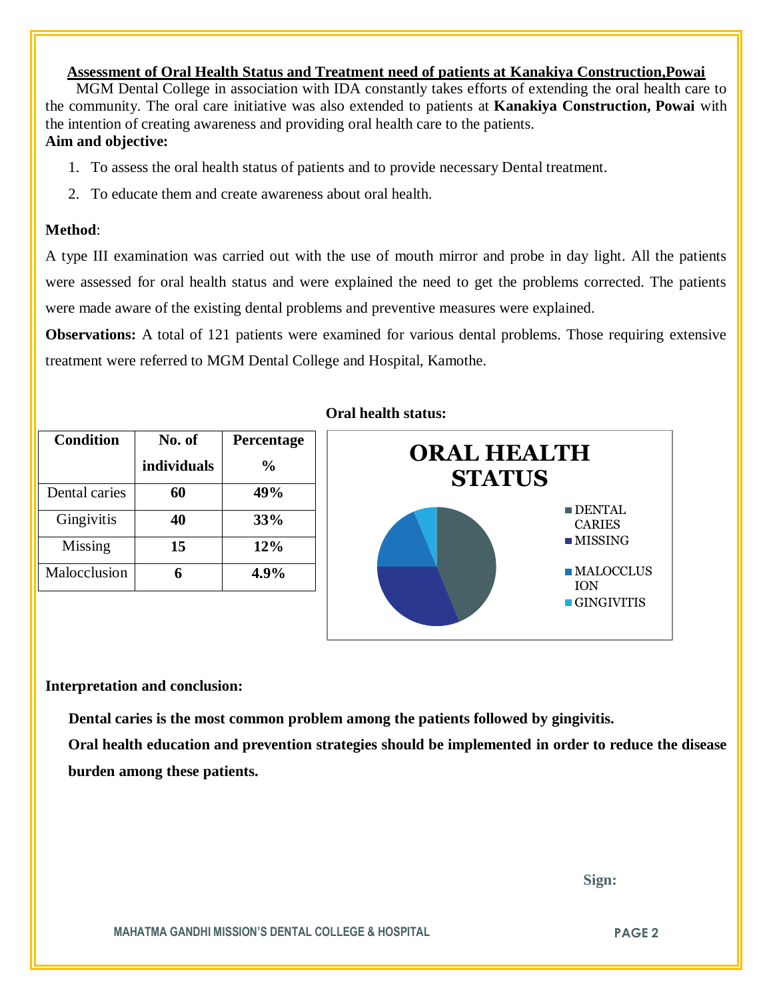# **Assessment of Oral Health Status and Treatment need of patients at Kanakiya Construction,Powai**

 MGM Dental College in association with IDA constantly takes efforts of extending the oral health care to the community. The oral care initiative was also extended to patients at **Kanakiya Construction, Powai** with the intention of creating awareness and providing oral health care to the patients. **Aim and objective:** 

- 1. To assess the oral health status of patients and to provide necessary Dental treatment.
- 2. To educate them and create awareness about oral health.

# **Method**:

A type III examination was carried out with the use of mouth mirror and probe in day light. All the patients were assessed for oral health status and were explained the need to get the problems corrected. The patients were made aware of the existing dental problems and preventive measures were explained.

**Observations:** A total of 121 patients were examined for various dental problems. Those requiring extensive treatment were referred to MGM Dental College and Hospital, Kamothe.

| <b>Condition</b> | No. of      | Percentage    |
|------------------|-------------|---------------|
|                  | individuals | $\frac{0}{0}$ |
| Dental caries    | 60          | 49%           |
| Gingivitis       | 40          | 33%           |
| Missing          | 15          | 12%           |
| Malocclusion     |             | 4.9%          |

## **Oral health status:**



#### **Interpretation and conclusion:**

 **Dental caries is the most common problem among the patients followed by gingivitis.**

**Oral health education and prevention strategies should be implemented in order to reduce the disease burden among these patients.**

 **Sign:**

**MAHATMA GANDHI MISSION'S DENTAL COLLEGE & HOSPITAL PAGE 2**